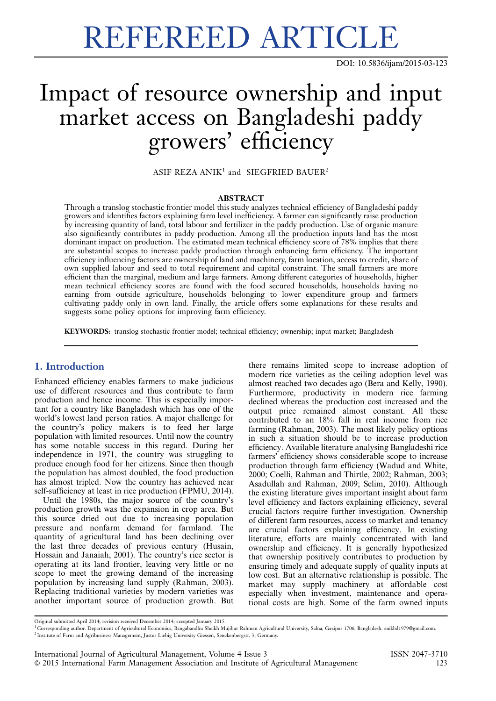# REFEREED ARTICLE

DOI: [10.5836/ijam/2015-03-123](http://dx.doi.org/10.5836/ijam/2015-03-123)

# Impact of resource ownership and input market access on Bangladeshi paddy growers' efficiency

ASIF REZA ANI $K^1$  and SIEGFRIED BAUER<sup>2</sup>

#### ABSTRACT

Through a translog stochastic frontier model this study analyzes technical efficiency of Bangladeshi paddy growers and identifies factors explaining farm level inefficiency. A farmer can significantly raise production by increasing quantity of land, total labour and fertilizer in the paddy production. Use of organic manure also significantly contributes in paddy production. Among all the production inputs land has the most dominant impact on production. The estimated mean technical efficiency score of 78% implies that there are substantial scopes to increase paddy production through enhancing farm efficiency. The important efficiency influencing factors are ownership of land and machinery, farm location, access to credit, share of own supplied labour and seed to total requirement and capital constraint. The small farmers are more efficient than the marginal, medium and large farmers. Among different categories of households, higher mean technical efficiency scores are found with the food secured households, households having no earning from outside agriculture, households belonging to lower expenditure group and farmers cultivating paddy only in own land. Finally, the article offers some explanations for these results and suggests some policy options for improving farm efficiency.

KEYWORDS: translog stochastic frontier model; technical efficiency; ownership; input market; Bangladesh

# 1. Introduction

Enhanced efficiency enables farmers to make judicious use of different resources and thus contribute to farm production and hence income. This is especially important for a country like Bangladesh which has one of the world's lowest land person ratios. A major challenge for the country's policy makers is to feed her large population with limited resources. Until now the country has some notable success in this regard. During her independence in 1971, the country was struggling to produce enough food for her citizens. Since then though the population has almost doubled, the food production has almost tripled. Now the country has achieved near self-sufficiency at least in rice production (FPMU, 2014).

Until the 1980s, the major source of the country's production growth was the expansion in crop area. But this source dried out due to increasing population pressure and nonfarm demand for farmland. The quantity of agricultural land has been declining over the last three decades of previous century (Husain, Hossain and Janaiah, 2001). The country's rice sector is operating at its land frontier, leaving very little or no scope to meet the growing demand of the increasing population by increasing land supply (Rahman, 2003). Replacing traditional varieties by modern varieties was another important source of production growth. But there remains limited scope to increase adoption of modern rice varieties as the ceiling adoption level was almost reached two decades ago (Bera and Kelly, 1990). Furthermore, productivity in modern rice farming declined whereas the production cost increased and the output price remained almost constant. All these contributed to an 18% fall in real income from rice farming (Rahman, 2003). The most likely policy options in such a situation should be to increase production efficiency. Available literature analysing Bangladeshi rice farmers' efficiency shows considerable scope to increase production through farm efficiency (Wadud and White, 2000; Coelli, Rahman and Thirtle, 2002; Rahman, 2003; Asadullah and Rahman, 2009; Selim, 2010). Although the existing literature gives important insight about farm level efficiency and factors explaining efficiency, several crucial factors require further investigation. Ownership of different farm resources, access to market and tenancy are crucial factors explaining efficiency. In existing literature, efforts are mainly concentrated with land ownership and efficiency. It is generally hypothesized that ownership positively contributes to production by ensuring timely and adequate supply of quality inputs at low cost. But an alternative relationship is possible. The market may supply machinery at affordable cost especially when investment, maintenance and operational costs are high. Some of the farm owned inputs

Original submitted April 2014; revision received December 2014; accepted January 2015.

<sup>1</sup> Corresponding author. Department of Agricultural Economics, Bangabandhu Sheikh Mujibur Rahman Agricultural University, Salna, Gazipur 1706, Bangladesh. anikbd1979@gmail.com. <sup>2</sup> Institute of Farm and Agribusiness Management, Justus Liebig University Giessen, Senckenbergstr. 3, Germany.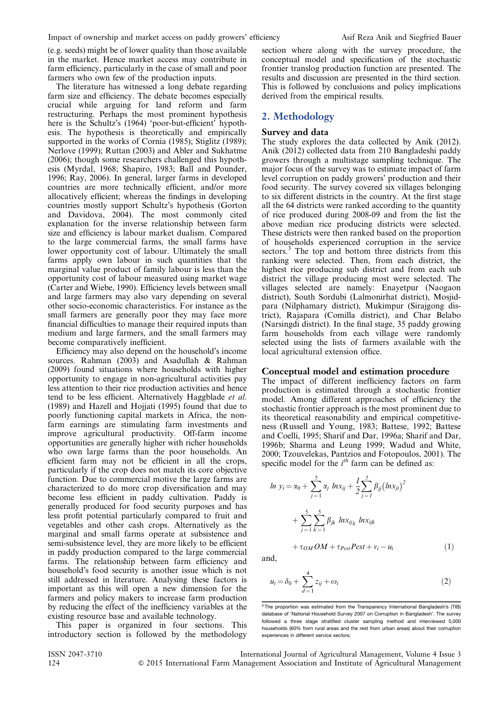(e.g. seeds) might be of lower quality than those available in the market. Hence market access may contribute in farm efficiency, particularly in the case of small and poor farmers who own few of the production inputs.

The literature has witnessed a long debate regarding farm size and efficiency. The debate becomes especially crucial while arguing for land reform and farm restructuring. Perhaps the most prominent hypothesis here is the Schultz's (1964) 'poor-but-efficient' hypothesis. The hypothesis is theoretically and empirically supported in the works of Cornia (1985); Stiglitz (1989); Nerlove (1999); Ruttan (2003) and Abler and Sukhatme (2006); though some researchers challenged this hypothesis (Myrdal, 1968; Shapiro, 1983; Ball and Pounder, 1996; Ray, 2006). In general, larger farms in developed countries are more technically efficient, and/or more allocatively efficient; whereas the findings in developing countries mostly support Schultz's hypothesis (Gorton and Davidova, 2004). The most commonly cited explanation for the inverse relationship between farm size and efficiency is labour market dualism. Compared to the large commercial farms, the small farms have lower opportunity cost of labour. Ultimately the small farms apply own labour in such quantities that the marginal value product of family labour is less than the opportunity cost of labour measured using market wage (Carter and Wiebe, 1990). Efficiency levels between small and large farmers may also vary depending on several other socio-economic characteristics. For instance as the small farmers are generally poor they may face more financial difficulties to manage their required inputs than medium and large farmers, and the small farmers may become comparatively inefficient.

Efficiency may also depend on the household's income sources. Rahman (2003) and Asadullah & Rahman (2009) found situations where households with higher opportunity to engage in non-agricultural activities pay less attention to their rice production activities and hence tend to be less efficient. Alternatively Haggblade et al. (1989) and Hazell and Hojjati (1995) found that due to poorly functioning capital markets in Africa, the nonfarm earnings are stimulating farm investments and improve agricultural productivity. Off-farm income opportunities are generally higher with richer households who own large farms than the poor households. An efficient farm may not be efficient in all the crops, particularly if the crop does not match its core objective function. Due to commercial motive the large farms are characterized to do more crop diversification and may become less efficient in paddy cultivation. Paddy is generally produced for food security purposes and has less profit potential particularly compared to fruit and vegetables and other cash crops. Alternatively as the marginal and small farms operate at subsistence and semi-subsistence level, they are more likely to be efficient in paddy production compared to the large commercial farms. The relationship between farm efficiency and household's food security is another issue which is not still addressed in literature. Analysing these factors is important as this will open a new dimension for the farmers and policy makers to increase farm production by reducing the effect of the inefficiency variables at the existing resource base and available technology.

This paper is organized in four sections. This introductory section is followed by the methodology

section where along with the survey procedure, the conceptual model and specification of the stochastic frontier translog production function are presented. The results and discussion are presented in the third section. This is followed by conclusions and policy implications derived from the empirical results.

# 2. Methodology

#### Survey and data

The study explores the data collected by Anik (2012). Anik (2012) collected data from 210 Bangladeshi paddy growers through a multistage sampling technique. The major focus of the survey was to estimate impact of farm level corruption on paddy growers' production and their food security. The survey covered six villages belonging to six different districts in the country. At the first stage all the 64 districts were ranked according to the quantity of rice produced during 2008-09 and from the list the above median rice producing districts were selected. These districts were then ranked based on the proportion of households experienced corruption in the service sectors.<sup>3</sup> The top and bottom three districts from this ranking were selected. Then, from each district, the highest rice producing sub district and from each sub district the village producing most were selected. The villages selected are namely: Enayetpur (Naogaon district), South Sordubi (Lalmonirhat district), Mosjidpara (Nilphamary district), Mukimpur (Sirajgong district), Rajapara (Comilla district), and Char Belabo (Narsingdi district). In the final stage, 35 paddy growing farm households from each village were randomly selected using the lists of farmers available with the local agricultural extension office.

# Conceptual model and estimation procedure

The impact of different inefficiency factors on farm production is estimated through a stochastic frontier model. Among different approaches of efficiency the stochastic frontier approach is the most prominent due to its theoretical reasonability and empirical competitiveness (Russell and Young, 1983; Battese, 1992; Battese and Coelli, 1995; Sharif and Dar, 1996a; Sharif and Dar, 1996b; Sharma and Leung 1999; Wadud and White, 2000; Tzouvelekas, Pantzios and Fotopoulos, 2001). The specific model for the  $i<sup>th</sup>$  farm can be defined as:

$$
\ln y_i = \alpha_0 + \sum_{j=1}^{5} \alpha_j \ln x_{ij} + \frac{1}{2} \sum_{j=1}^{5} \beta_{jj} (\ln x_{ji})^2
$$

$$
+ \sum_{j=1}^{5} \sum_{k=1}^{5} \beta_{jk} \ln x_{ijk} \ln x_{ijk}
$$

$$
+ \tau_{OM} OM + \tau_{Pest} Pest + v_i - u_i
$$
(1)

and,

$$
u_i = \delta_0 + \sum_{d=1}^{4} z_{ij} + \omega_i \tag{2}
$$

 $\overline{3}$ The proportion was estimated from the Transparency International Bangladesh's (TIB) database of 'National Household Survey 2007 on Corruption in Bangladesh'. The survey followed a three stage stratified cluster sampling method and interviewed 5,000 households (60% from rural areas and the rest from urban areas) about their corruption experiences in different service sectors.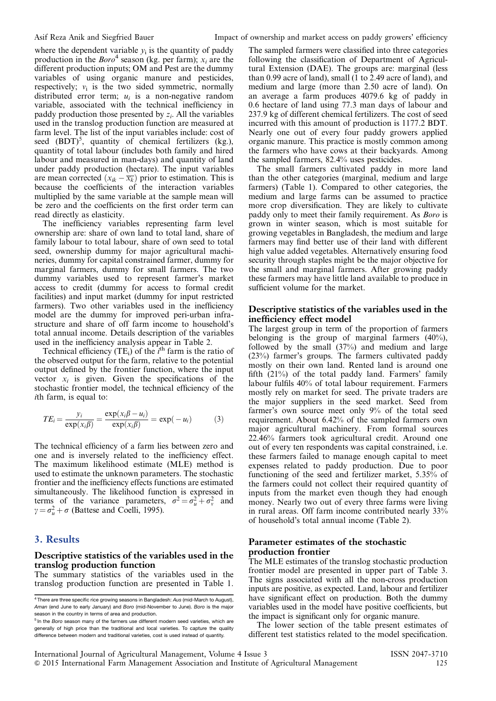where the dependent variable  $y_i$  is the quantity of paddy production in the  $Boro<sup>4</sup>$  season (kg. per farm);  $x_i$  are the different production inputs; OM and Pest are the dummy variables of using organic manure and pesticides, respectively;  $v_i$  is the two sided symmetric, normally distributed error term;  $u_i$  is a non-negative random variable, associated with the technical inefficiency in paddy production those presented by  $z_i$ . All the variables used in the translog production function are measured at farm level. The list of the input variables include: cost of seed  $(BDT)^5$ , quantity of chemical fertilizers (kg.), quantity of total labour (includes both family and hired labour and measured in man-days) and quantity of land under paddy production (hectare). The input variables are mean corrected  $(x_{ik} - \overline{x_k})$  prior to estimation. This is because the coefficients of the interaction variables multiplied by the same variable at the sample mean will be zero and the coefficients on the first order term can read directly as elasticity.

The inefficiency variables representing farm level ownership are: share of own land to total land, share of family labour to total labour, share of own seed to total seed, ownership dummy for major agricultural machineries, dummy for capital constrained farmer, dummy for marginal farmers, dummy for small farmers. The two dummy variables used to represent farmer's market access to credit (dummy for access to formal credit facilities) and input market (dummy for input restricted farmers). Two other variables used in the inefficiency model are the dummy for improved peri-urban infrastructure and share of off farm income to household's total annual income. Details description of the variables used in the inefficiency analysis appear in [Table 2.](#page-3-0)

Technical efficiency (TE<sub>i</sub>) of the  $i^{\text{th}}$  farm is the ratio of the observed output for the farm, relative to the potential output defined by the frontier function, where the input vector  $x_i$  is given. Given the specifications of the stochastic frontier model, the technical efficiency of the ith farm, is equal to:

$$
TE_i = \frac{y_i}{\exp(x_i \beta)} = \frac{\exp(x_i \beta - u_i)}{\exp(x_i \beta)} = \exp(-u_i)
$$
 (3)

The technical efficiency of a farm lies between zero and one and is inversely related to the inefficiency effect. The maximum likelihood estimate (MLE) method is used to estimate the unknown parameters. The stochastic frontier and the inefficiency effects functions are estimated simultaneously. The likelihood function is expressed in terms of the variance parameters,  $\sigma^2 = \sigma_u^2 + \sigma_v^2$  and  $\gamma = \sigma_u^2 + \sigma$  (Battese and Coelli, 1995).

# 3. Results

#### Descriptive statistics of the variables used in the translog production function

The summary statistics of the variables used in the translog production function are presented in [Table 1.](#page-3-0) The sampled farmers were classified into three categories following the classification of Department of Agricultural Extension (DAE). The groups are: marginal (less than 0.99 acre of land), small (1 to 2.49 acre of land), and medium and large (more than 2.50 acre of land). On an average a farm produces 4079.6 kg of paddy in 0.6 hectare of land using 77.3 man days of labour and 237.9 kg of different chemical fertilizers. The cost of seed incurred with this amount of production is 1177.2 BDT. Nearly one out of every four paddy growers applied organic manure. This practice is mostly common among the farmers who have cows at their backyards. Among the sampled farmers, 82.4% uses pesticides.

The small farmers cultivated paddy in more land than the other categories (marginal, medium and large farmers) ([Table 1](#page-3-0)). Compared to other categories, the medium and large farms can be assumed to practice more crop diversification. They are likely to cultivate paddy only to meet their family requirement. As Boro is grown in winter season, which is most suitable for growing vegetables in Bangladesh, the medium and large farmers may find better use of their land with different high value added vegetables. Alternatively ensuring food security through staples might be the major objective for the small and marginal farmers. After growing paddy these farmers may have little land available to produce in sufficient volume for the market.

#### Descriptive statistics of the variables used in the inefficiency effect model

The largest group in term of the proportion of farmers belonging is the group of marginal farmers (40%), followed by the small (37%) and medium and large (23%) farmer's groups. The farmers cultivated paddy mostly on their own land. Rented land is around one fifth (21%) of the total paddy land. Farmers' family labour fulfils 40% of total labour requirement. Farmers mostly rely on market for seed. The private traders are the major suppliers in the seed market. Seed from farmer's own source meet only 9% of the total seed requirement. About 6.42% of the sampled farmers own major agricultural machinery. From formal sources 22.46% farmers took agricultural credit. Around one out of every ten respondents was capital constrained, i.e. these farmers failed to manage enough capital to meet expenses related to paddy production. Due to poor functioning of the seed and fertilizer market, 5.35% of the farmers could not collect their required quantity of inputs from the market even though they had enough money. Nearly two out of every three farms were living in rural areas. Off farm income contributed nearly 33% of household's total annual income [\(Table 2\)](#page-3-0).

#### Parameter estimates of the stochastic production frontier

The MLE estimates of the translog stochastic production frontier model are presented in upper part of [Table 3.](#page-4-0) The signs associated with all the non-cross production inputs are positive, as expected. Land, labour and fertilizer have significant effect on production. Both the dummy variables used in the model have positive coefficients, but the impact is significant only for organic manure.

The lower section of the table present estimates of different test statistics related to the model specification.

<sup>&</sup>lt;sup>4</sup> There are three specific rice growing seasons in Bangladesh: Aus (mid-March to August), Aman (end June to early January) and Boro (mid-November to June). Boro is the major season in the country in terms of area and production.

<sup>&</sup>lt;sup>5</sup> In the Boro season many of the farmers use different modern seed varieties, which are generally of high price than the traditional and local varieties. To capture the quality difference between modern and traditional varieties, cost is used instead of quantity.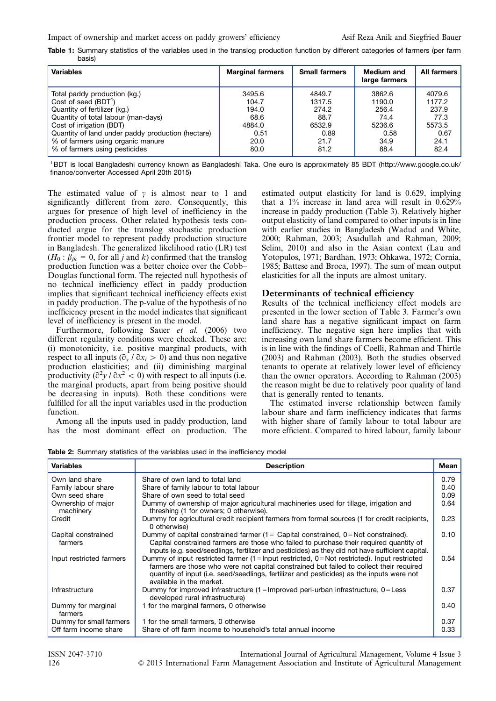<span id="page-3-0"></span>

|        |  |  |  |  |  | Table 1: Summary statistics of the variables used in the translog production function by different categories of farmers (per farm |  |  |
|--------|--|--|--|--|--|------------------------------------------------------------------------------------------------------------------------------------|--|--|
| basis) |  |  |  |  |  |                                                                                                                                    |  |  |

| <b>Variables</b>                                  | <b>Marginal farmers</b> | <b>Small farmers</b> | <b>Medium and</b><br>large farmers | All farmers |
|---------------------------------------------------|-------------------------|----------------------|------------------------------------|-------------|
| Total paddy production (kg.)                      | 3495.6                  | 4849.7               | 3862.6                             | 4079.6      |
| Cost of seed $(BDT1)$                             | 104.7                   | 1317.5               | 1190.0                             | 1177.2      |
| Quantity of fertilizer (kg.)                      | 194.0                   | 274.2                | 256.4                              | 237.9       |
| Quantity of total labour (man-days)               | 68.6                    | 88.7                 | 74.4                               | 77.3        |
| Cost of irrigation (BDT)                          | 4884.0                  | 6532.9               | 5236.6                             | 5573.5      |
| Quantity of land under paddy production (hectare) | 0.51                    | 0.89                 | 0.58                               | 0.67        |
| % of farmers using organic manure                 | 20.0                    | 21.7                 | 34.9                               | 24.1        |
| % of farmers using pesticides                     | 80.0                    | 81.2                 | 88.4                               | 82.4        |

<sup>1</sup>BDT is local Bangladeshi currency known as Bangladeshi Taka. One euro is approximately 85 BDT [\(http://www.google.co.uk/](http://dx.doi.org/10.5836/ijam/2015-03-123) [finance/converter](http://dx.doi.org/10.5836/ijam/2015-03-123) Accessed April 20th 2015)

The estimated value of  $\gamma$  is almost near to 1 and significantly different from zero. Consequently, this argues for presence of high level of inefficiency in the production process. Other related hypothesis tests conducted argue for the translog stochastic production frontier model to represent paddy production structure in Bangladesh. The generalized likelihood ratio (LR) test  $(H_0: \beta_{ik} = 0$ , for all j and k) confirmed that the translog production function was a better choice over the Cobb– Douglas functional form. The rejected null hypothesis of no technical inefficiency effect in paddy production implies that significant technical inefficiency effects exist in paddy production. The p-value of the hypothesis of no inefficiency present in the model indicates that significant level of inefficiency is present in the model.

Furthermore, following Sauer et al. (2006) two different regularity conditions were checked. These are: (i) monotonicity, i.e. positive marginal products, with respect to all inputs  $(\partial_v / \partial x_i > 0)$  and thus non negative production elasticities; and (ii) diminishing marginal productivity  $\left(\frac{\partial^2 y}{\partial x^2} \right)$  with respect to all inputs (i.e. the marginal products, apart from being positive should be decreasing in inputs). Both these conditions were fulfilled for all the input variables used in the production function.

Among all the inputs used in paddy production, land has the most dominant effect on production. The estimated output elasticity for land is 0.629, implying that a 1% increase in land area will result in 0.629% increase in paddy production [\(Table 3\)](#page-4-0). Relatively higher output elasticity of land compared to other inputs is in line with earlier studies in Bangladesh (Wadud and White, 2000; Rahman, 2003; Asadullah and Rahman, 2009; Selim, 2010) and also in the Asian context (Lau and Yotopulos, 1971; Bardhan, 1973; Ohkawa, 1972; Cornia, 1985; Battese and Broca, 1997). The sum of mean output elasticities for all the inputs are almost unitary.

#### Determinants of technical efficiency

Results of the technical inefficiency effect models are presented in the lower section of [Table 3](#page-4-0). Farmer's own land share has a negative significant impact on farm inefficiency. The negative sign here implies that with increasing own land share farmers become efficient. This is in line with the findings of Coelli, Rahman and Thirtle (2003) and Rahman (2003). Both the studies observed tenants to operate at relatively lower level of efficiency than the owner operators. According to Rahman (2003) the reason might be due to relatively poor quality of land that is generally rented to tenants.

The estimated inverse relationship between family labour share and farm inefficiency indicates that farms with higher share of family labour to total labour are more efficient. Compared to hired labour, family labour

Table 2: Summary statistics of the variables used in the inefficiency model

| <b>Variables</b>                | <b>Description</b>                                                                                                                                                                                                                                                                                                    | Mean |
|---------------------------------|-----------------------------------------------------------------------------------------------------------------------------------------------------------------------------------------------------------------------------------------------------------------------------------------------------------------------|------|
| Own land share                  | Share of own land to total land                                                                                                                                                                                                                                                                                       | 0.79 |
| Family labour share             | Share of family labour to total labour                                                                                                                                                                                                                                                                                | 0.40 |
| Own seed share                  | Share of own seed to total seed                                                                                                                                                                                                                                                                                       | 0.09 |
| Ownership of major<br>machinery | Dummy of ownership of major agricultural machineries used for tillage, irrigation and<br>threshing (1 for owners; 0 otherwise).                                                                                                                                                                                       | 0.64 |
| Credit                          | Dummy for agricultural credit recipient farmers from formal sources (1 for credit recipients,<br>0 otherwise)                                                                                                                                                                                                         | 0.23 |
| Capital constrained<br>farmers  | Dummy of capital constrained farmer $(1 -$ Capital constrained, $0 = Not$ constrained).<br>Capital constrained farmers are those who failed to purchase their required quantity of<br>inputs (e.g. seed/seedlings, fertilizer and pesticides) as they did not have sufficient capital.                                | 0.10 |
| Input restricted farmers        | Dummy of input restricted farmer $(1 =$ Input restricted, $0 =$ Not restricted). Input restricted<br>farmers are those who were not capital constrained but failed to collect their required<br>quantity of input (i.e. seed/seedlings, fertilizer and pesticides) as the inputs were not<br>available in the market. | 0.54 |
| Infrastructure                  | Dummy for improved infrastructure $(1 =$ Improved peri-urban infrastructure, $0 =$ Less<br>developed rural infrastructure)                                                                                                                                                                                            | 0.37 |
| Dummy for marginal<br>farmers   | 1 for the marginal farmers, 0 otherwise                                                                                                                                                                                                                                                                               | 0.40 |
| Dummy for small farmers         | 1 for the small farmers, 0 otherwise                                                                                                                                                                                                                                                                                  | 0.37 |
| Off farm income share           | Share of off farm income to household's total annual income                                                                                                                                                                                                                                                           | 0.33 |

ISSN 2047-3710 International Journal of Agricultural Management, Volume 4 Issue 3 126 & 2015 International Farm Management Association and Institute of Agricultural Management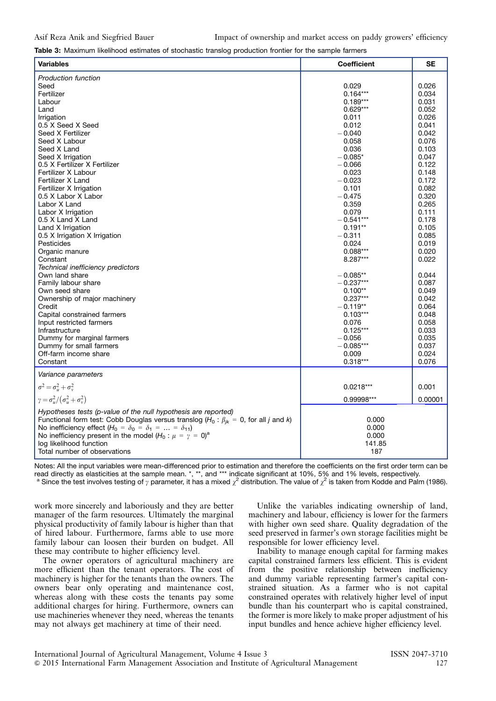<span id="page-4-0"></span>Table 3: Maximum likelihood estimates of stochastic translog production frontier for the sample farmers

| <b>Variables</b>                                                                                                                                                                                                                                                                                                                        | <b>Coefficient</b>                | <b>SE</b> |
|-----------------------------------------------------------------------------------------------------------------------------------------------------------------------------------------------------------------------------------------------------------------------------------------------------------------------------------------|-----------------------------------|-----------|
| <b>Production function</b>                                                                                                                                                                                                                                                                                                              |                                   |           |
| Seed                                                                                                                                                                                                                                                                                                                                    | 0.029                             | 0.026     |
| Fertilizer                                                                                                                                                                                                                                                                                                                              | $0.164***$                        | 0.034     |
| Labour                                                                                                                                                                                                                                                                                                                                  | $0.189***$                        | 0.031     |
| Land                                                                                                                                                                                                                                                                                                                                    | $0.629***$                        | 0.052     |
| Irrigation                                                                                                                                                                                                                                                                                                                              | 0.011                             | 0.026     |
| 0.5 X Seed X Seed                                                                                                                                                                                                                                                                                                                       | 0.012                             | 0.041     |
| Seed X Fertilizer                                                                                                                                                                                                                                                                                                                       | $-0.040$                          | 0.042     |
| Seed X Labour                                                                                                                                                                                                                                                                                                                           | 0.058                             | 0.076     |
| Seed X Land                                                                                                                                                                                                                                                                                                                             | 0.036                             | 0.103     |
| Seed X Irrigation                                                                                                                                                                                                                                                                                                                       | $-0.085*$                         | 0.047     |
| 0.5 X Fertilizer X Fertilizer                                                                                                                                                                                                                                                                                                           | $-0.066$                          | 0.122     |
| Fertilizer X Labour                                                                                                                                                                                                                                                                                                                     | 0.023                             | 0.148     |
| Fertilizer X Land                                                                                                                                                                                                                                                                                                                       | $-0.023$                          | 0.172     |
| Fertilizer X Irrigation                                                                                                                                                                                                                                                                                                                 | 0.101                             | 0.082     |
| 0.5 X Labor X Labor                                                                                                                                                                                                                                                                                                                     | $-0.475$                          | 0.320     |
| Labor X Land                                                                                                                                                                                                                                                                                                                            | 0.359                             | 0.265     |
| Labor X Irrigation                                                                                                                                                                                                                                                                                                                      | 0.079                             | 0.111     |
| 0.5 X Land X Land                                                                                                                                                                                                                                                                                                                       | $-0.541***$                       | 0.178     |
| Land X Irrigation                                                                                                                                                                                                                                                                                                                       | $0.191**$                         | 0.105     |
| 0.5 X Irrigation X Irrigation                                                                                                                                                                                                                                                                                                           | $-0.311$                          | 0.085     |
| Pesticides                                                                                                                                                                                                                                                                                                                              | 0.024                             | 0.019     |
| Organic manure                                                                                                                                                                                                                                                                                                                          | $0.088***$                        | 0.020     |
| Constant                                                                                                                                                                                                                                                                                                                                | 8.287***                          | 0.022     |
| Technical inefficiency predictors                                                                                                                                                                                                                                                                                                       |                                   |           |
| Own land share                                                                                                                                                                                                                                                                                                                          | $-0.085**$                        | 0.044     |
| Family labour share                                                                                                                                                                                                                                                                                                                     | $-0.237***$                       | 0.087     |
| Own seed share                                                                                                                                                                                                                                                                                                                          | $0.100**$                         | 0.049     |
| Ownership of major machinery                                                                                                                                                                                                                                                                                                            | $0.237***$                        | 0.042     |
| Credit                                                                                                                                                                                                                                                                                                                                  | $-0.119**$                        | 0.064     |
| Capital constrained farmers                                                                                                                                                                                                                                                                                                             | $0.103***$                        | 0.048     |
| Input restricted farmers                                                                                                                                                                                                                                                                                                                | 0.076                             | 0.058     |
| Infrastructure                                                                                                                                                                                                                                                                                                                          | $0.125***$                        | 0.033     |
| Dummy for marginal farmers                                                                                                                                                                                                                                                                                                              | $-0.056$                          | 0.035     |
| Dummy for small farmers                                                                                                                                                                                                                                                                                                                 | $-0.085***$                       | 0.037     |
| Off-farm income share                                                                                                                                                                                                                                                                                                                   | 0.009                             | 0.024     |
| Constant                                                                                                                                                                                                                                                                                                                                | $0.318***$                        | 0.076     |
| Variance parameters                                                                                                                                                                                                                                                                                                                     |                                   |           |
| $\sigma^2 = \sigma_u^2 + \sigma_v^2$                                                                                                                                                                                                                                                                                                    | $0.0218***$                       | 0.001     |
| $\gamma = \sigma_u^2/(\sigma_u^2 + \sigma_v^2)$                                                                                                                                                                                                                                                                                         | 0.99998***                        | 0.00001   |
| Hypotheses tests (p-value of the null hypothesis are reported)<br>Functional form test: Cobb Douglas versus translog ( $H_0: \beta_{ik} = 0$ , for all j and k)<br>No inefficiency effect $(H_0 = \delta_0 = \delta_1 =  = \delta_{11})$<br>No inefficiency present in the model $(H_0: \mu = \gamma = 0)^a$<br>log likelihood function | 0.000<br>0.000<br>0.000<br>141.85 |           |
| Total number of observations                                                                                                                                                                                                                                                                                                            | 187                               |           |

Notes: All the input variables were mean-differenced prior to estimation and therefore the coefficients on the first order term can be read directly as elasticities at the sample mean. \*, \*\*, and \*\*\* indicate significant at 10%, 5% and 1% levels, respectively.

<sup>a</sup> Since the test involves testing of y parameter, it has a mixed  $\chi^2$  distribution. The value of  $\chi^2$  is taken from Kodde and Palm (1986).

work more sincerely and laboriously and they are better manager of the farm resources. Ultimately the marginal physical productivity of family labour is higher than that of hired labour. Furthermore, farms able to use more family labour can loosen their burden on budget. All these may contribute to higher efficiency level.

The owner operators of agricultural machinery are more efficient than the tenant operators. The cost of machinery is higher for the tenants than the owners. The owners bear only operating and maintenance cost, whereas along with these costs the tenants pay some additional charges for hiring. Furthermore, owners can use machineries whenever they need, whereas the tenants may not always get machinery at time of their need.

Unlike the variables indicating ownership of land, machinery and labour, efficiency is lower for the farmers with higher own seed share. Quality degradation of the seed preserved in farmer's own storage facilities might be responsible for lower efficiency level.

Inability to manage enough capital for farming makes capital constrained farmers less efficient. This is evident from the positive relationship between inefficiency and dummy variable representing farmer's capital constrained situation. As a farmer who is not capital constrained operates with relatively higher level of input bundle than his counterpart who is capital constrained, the former is more likely to make proper adjustment of his input bundles and hence achieve higher efficiency level.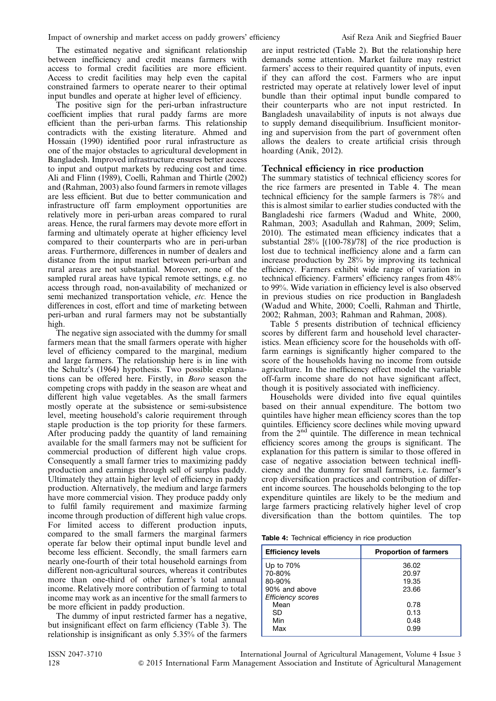The estimated negative and significant relationship between inefficiency and credit means farmers with access to formal credit facilities are more efficient. Access to credit facilities may help even the capital constrained farmers to operate nearer to their optimal input bundles and operate at higher level of efficiency.

The positive sign for the peri-urban infrastructure coefficient implies that rural paddy farms are more efficient than the peri-urban farms. This relationship contradicts with the existing literature. Ahmed and Hossain (1990) identified poor rural infrastructure as one of the major obstacles to agricultural development in Bangladesh. Improved infrastructure ensures better access to input and output markets by reducing cost and time. Ali and Flinn (1989), Coelli, Rahman and Thirtle (2002) and (Rahman, 2003) also found farmers in remote villages are less efficient. But due to better communication and infrastructure off farm employment opportunities are relatively more in peri-urban areas compared to rural areas. Hence, the rural farmers may devote more effort in farming and ultimately operate at higher efficiency level compared to their counterparts who are in peri-urban areas. Furthermore, differences in number of dealers and distance from the input market between peri-urban and rural areas are not substantial. Moreover, none of the sampled rural areas have typical remote settings, e.g. no access through road, non-availability of mechanized or semi mechanized transportation vehicle, etc. Hence the differences in cost, effort and time of marketing between peri-urban and rural farmers may not be substantially high.

The negative sign associated with the dummy for small farmers mean that the small farmers operate with higher level of efficiency compared to the marginal, medium and large farmers. The relationship here is in line with the Schultz's (1964) hypothesis. Two possible explanations can be offered here. Firstly, in Boro season the competing crops with paddy in the season are wheat and different high value vegetables. As the small farmers mostly operate at the subsistence or semi-subsistence level, meeting household's calorie requirement through staple production is the top priority for these farmers. After producing paddy the quantity of land remaining available for the small farmers may not be sufficient for commercial production of different high value crops. Consequently a small farmer tries to maximizing paddy production and earnings through sell of surplus paddy. Ultimately they attain higher level of efficiency in paddy production. Alternatively, the medium and large farmers have more commercial vision. They produce paddy only to fulfil family requirement and maximize farming income through production of different high value crops. For limited access to different production inputs, compared to the small farmers the marginal farmers operate far below their optimal input bundle level and become less efficient. Secondly, the small farmers earn nearly one-fourth of their total household earnings from different non-agricultural sources, whereas it contributes more than one-third of other farmer's total annual income. Relatively more contribution of farming to total income may work as an incentive for the small farmers to be more efficient in paddy production.

The dummy of input restricted farmer has a negative, but insignificant effect on farm efficiency [\(Table 3\)](#page-4-0). The relationship is insignificant as only 5.35% of the farmers are input restricted [\(Table 2](#page-3-0)). But the relationship here demands some attention. Market failure may restrict farmers' access to their required quantity of inputs, even if they can afford the cost. Farmers who are input restricted may operate at relatively lower level of input bundle than their optimal input bundle compared to their counterparts who are not input restricted. In Bangladesh unavailability of inputs is not always due to supply demand disequilibrium. Insufficient monitoring and supervision from the part of government often allows the dealers to create artificial crisis through hoarding (Anik, 2012).

# Technical efficiency in rice production

The summary statistics of technical efficiency scores for the rice farmers are presented in Table 4. The mean technical efficiency for the sample farmers is 78% and this is almost similar to earlier studies conducted with the Bangladeshi rice farmers (Wadud and White, 2000, Rahman, 2003; Asadullah and Rahman, 2009; Selim, 2010). The estimated mean efficiency indicates that a substantial 28% [(100-78)/78] of the rice production is lost due to technical inefficiency alone and a farm can increase production by 28% by improving its technical efficiency. Farmers exhibit wide range of variation in technical efficiency. Farmers' efficiency ranges from 48% to 99%. Wide variation in efficiency level is also observed in previous studies on rice production in Bangladesh (Wadud and White, 2000; Coelli, Rahman and Thirtle, 2002; Rahman, 2003; Rahman and Rahman, 2008).

[Table 5](#page-6-0) presents distribution of technical efficiency scores by different farm and household level characteristics. Mean efficiency score for the households with offfarm earnings is significantly higher compared to the score of the households having no income from outside agriculture. In the inefficiency effect model the variable off-farm income share do not have significant affect, though it is positively associated with inefficiency.

Households were divided into five equal quintiles based on their annual expenditure. The bottom two quintiles have higher mean efficiency scores than the top quintiles. Efficiency score declines while moving upward from the 2nd quintile. The difference in mean technical efficiency scores among the groups is significant. The explanation for this pattern is similar to those offered in case of negative association between technical inefficiency and the dummy for small farmers, i.e. farmer's crop diversification practices and contribution of different income sources. The households belonging to the top expenditure quintiles are likely to be the medium and large farmers practicing relatively higher level of crop diversification than the bottom quintiles. The top

|  |  |  |  |  | Table 4: Technical efficiency in rice production |
|--|--|--|--|--|--------------------------------------------------|
|--|--|--|--|--|--------------------------------------------------|

| <b>Efficiency levels</b>                  | <b>Proportion of farmers</b> |
|-------------------------------------------|------------------------------|
| Up to 70%                                 | 36.02                        |
| 70-80%<br>80-90%                          | 20.97<br>19.35               |
| 90% and above<br><b>Efficiency scores</b> | 23.66                        |
| Mean                                      | 0.78                         |
| SD<br>Min                                 | 0.13<br>0.48                 |
| Max                                       | 0.99                         |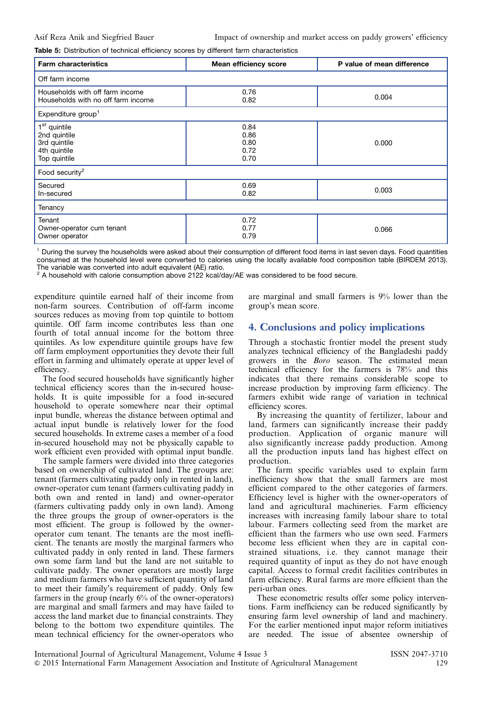<span id="page-6-0"></span>Table 5: Distribution of technical efficiency scores by different farm characteristics

| <b>Farm characteristics</b>                                                              | <b>Mean efficiency score</b>         | P value of mean difference |  |  |  |  |  |  |
|------------------------------------------------------------------------------------------|--------------------------------------|----------------------------|--|--|--|--|--|--|
| Off farm income                                                                          |                                      |                            |  |  |  |  |  |  |
| Households with off farm income<br>Households with no off farm income                    | 0.76<br>0.82                         | 0.004                      |  |  |  |  |  |  |
| Expenditure group <sup>1</sup>                                                           |                                      |                            |  |  |  |  |  |  |
| 1 <sup>st</sup> quintile<br>2nd quintile<br>3rd quintile<br>4th quintile<br>Top quintile | 0.84<br>0.86<br>0.80<br>0.72<br>0.70 | 0.000                      |  |  |  |  |  |  |
| Food security <sup>2</sup>                                                               |                                      |                            |  |  |  |  |  |  |
| Secured<br>In-secured                                                                    | 0.69<br>0.82                         | 0.003                      |  |  |  |  |  |  |
| Tenancy                                                                                  |                                      |                            |  |  |  |  |  |  |
| Tenant<br>Owner-operator cum tenant<br>Owner operator                                    | 0.72<br>0.77<br>0.79                 | 0.066                      |  |  |  |  |  |  |

 $1$  During the survey the households were asked about their consumption of different food items in last seven days. Food quantities consumed at the household level were converted to calories using the locally available food composition table (BIRDEM 2013).

The variable was converted into adult equivalent (AE) ratio. <sup>2</sup> A household with calorie consumption above 2122 kcal/day/AE was considered to be food secure.

expenditure quintile earned half of their income from non-farm sources. Contribution of off-farm income sources reduces as moving from top quintile to bottom quintile. Off farm income contributes less than one fourth of total annual income for the bottom three quintiles. As low expenditure quintile groups have few off farm employment opportunities they devote their full effort in farming and ultimately operate at upper level of efficiency.

The food secured households have significantly higher technical efficiency scores than the in-secured households. It is quite impossible for a food in-secured household to operate somewhere near their optimal input bundle, whereas the distance between optimal and actual input bundle is relatively lower for the food secured households. In extreme cases a member of a food in-secured household may not be physically capable to work efficient even provided with optimal input bundle.

The sample farmers were divided into three categories based on ownership of cultivated land. The groups are: tenant (farmers cultivating paddy only in rented in land), owner-operator cum tenant (farmers cultivating paddy in both own and rented in land) and owner-operator (farmers cultivating paddy only in own land). Among the three groups the group of owner-operators is the most efficient. The group is followed by the owneroperator cum tenant. The tenants are the most inefficient. The tenants are mostly the marginal farmers who cultivated paddy in only rented in land. These farmers own some farm land but the land are not suitable to cultivate paddy. The owner operators are mostly large and medium farmers who have sufficient quantity of land to meet their family's requirement of paddy. Only few farmers in the group (nearly  $6\%$  of the owner-operators) are marginal and small farmers and may have failed to access the land market due to financial constraints. They belong to the bottom two expenditure quintiles. The mean technical efficiency for the owner-operators who

are marginal and small farmers is 9% lower than the group's mean score.

# 4. Conclusions and policy implications

Through a stochastic frontier model the present study analyzes technical efficiency of the Bangladeshi paddy growers in the Boro season. The estimated mean technical efficiency for the farmers is 78% and this indicates that there remains considerable scope to increase production by improving farm efficiency. The farmers exhibit wide range of variation in technical efficiency scores.

By increasing the quantity of fertilizer, labour and land, farmers can significantly increase their paddy production. Application of organic manure will also significantly increase paddy production. Among all the production inputs land has highest effect on production.

The farm specific variables used to explain farm inefficiency show that the small farmers are most efficient compared to the other categories of farmers. Efficiency level is higher with the owner-operators of land and agricultural machineries. Farm efficiency increases with increasing family labour share to total labour. Farmers collecting seed from the market are efficient than the farmers who use own seed. Farmers become less efficient when they are in capital constrained situations, i.e. they cannot manage their required quantity of input as they do not have enough capital. Access to formal credit facilities contributes in farm efficiency. Rural farms are more efficient than the peri-urban ones.

These econometric results offer some policy interventions. Farm inefficiency can be reduced significantly by ensuring farm level ownership of land and machinery. For the earlier mentioned input major reform initiatives are needed. The issue of absentee ownership of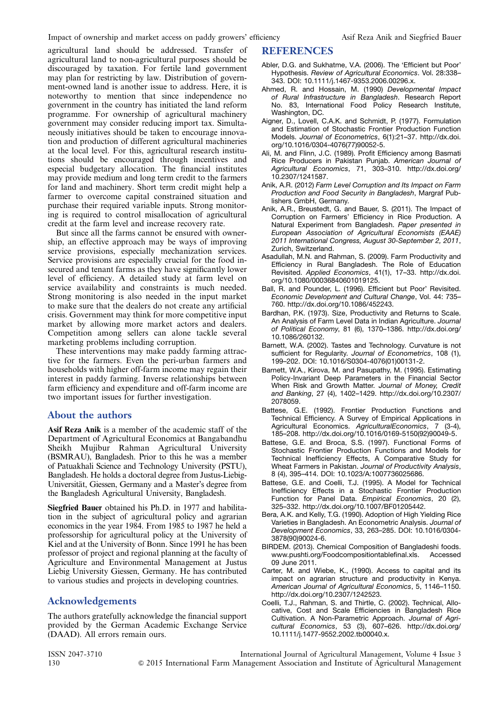agricultural land should be addressed. Transfer of agricultural land to non-agricultural purposes should be discouraged by taxation. For fertile land government may plan for restricting by law. Distribution of government-owned land is another issue to address. Here, it is noteworthy to mention that since independence no government in the country has initiated the land reform programme. For ownership of agricultural machinery government may consider reducing import tax. Simultaneously initiatives should be taken to encourage innovation and production of different agricultural machineries at the local level. For this, agricultural research institutions should be encouraged through incentives and especial budgetary allocation. The financial institutes may provide medium and long term credit to the farmers for land and machinery. Short term credit might help a farmer to overcome capital constrained situation and purchase their required variable inputs. Strong monitoring is required to control misallocation of agricultural credit at the farm level and increase recovery rate.

But since all the farms cannot be ensured with ownership, an effective approach may be ways of improving service provisions, especially mechanization services. Service provisions are especially crucial for the food insecured and tenant farms as they have significantly lower level of efficiency. A detailed study at farm level on service availability and constraints is much needed. Strong monitoring is also needed in the input market to make sure that the dealers do not create any artificial crisis. Government may think for more competitive input market by allowing more market actors and dealers. Competition among sellers can alone tackle several marketing problems including corruption.

These interventions may make paddy farming attractive for the farmers. Even the peri-urban farmers and households with higher off-farm income may regain their interest in paddy farming. Inverse relationships between farm efficiency and expenditure and off-farm income are two important issues for further investigation.

# About the authors

Asif Reza Anik is a member of the academic staff of the Department of Agricultural Economics at Bangabandhu Sheikh Mujibur Rahman Agricultural University (BSMRAU), Bangladesh. Prior to this he was a member of Patuakhali Science and Technology University (PSTU), Bangladesh. He holds a doctoral degree from Justus-Liebig-Universität, Giessen, Germany and a Master's degree from the Bangladesh Agricultural University, Bangladesh.

Siegfried Bauer obtained his Ph.D. in 1977 and habilitation in the subject of agricultural policy and agrarian economics in the year 1984. From 1985 to 1987 he held a professorship for agricultural policy at the University of Kiel and at the University of Bonn. Since 1991 he has been professor of project and regional planning at the faculty of Agriculture and Environmental Management at Justus Liebig University Giessen, Germany. He has contributed to various studies and projects in developing countries.

# Acknowledgements

The authors gratefully acknowledge the financial support provided by the German Academic Exchange Service (DAAD). All errors remain ours.

# REFERENCES

- Abler, D.G. and Sukhatme, V.A. (2006). The 'Efficient but Poor' Hypothesis. Review of Agricultural Economics. Vol. 28:338– 343. DOI: 10.1111/j.1467-9353.2006.00296.x.
- Ahmed, R. and Hossain, M. (1990) Developmental Impact of Rural Infrastructure in Bangladesh. Research Report No. 83, International Food Policy Research Institute, Washington, DC.
- Aigner, D., Lovell, C.A.K. and Schmidt, P. (1977). Formulation and Estimation of Stochastic Frontier Production Function Models. Journal of Econometrics, 6(1):21–37. [http://dx.doi.](http://dx.doi.org/10.1016/0304-4076(77)90052-5) [org/10.1016/0304-4076\(77\)90052-5](http://dx.doi.org/10.1016/0304-4076(77)90052-5).
- Ali, M. and Flinn, J.C. (1989). Profit Efficiency among Basmati Rice Producers in Pakistan Punjab. American Journal of Agricultural Economics, 71, 303–310. [http://dx.doi.org/](http://dx.doi.org/10.2307/1241587) [10.2307/1241587.](http://dx.doi.org/10.2307/1241587)
- Anik, A.R. (2012) Farm Level Corruption and Its Impact on Farm Production and Food Security in Bangladesh, Margraf Publishers GmbH, Germany.
- Anik, A.R., Breustedt, G. and Bauer, S. (2011). The Impact of Corruption on Farmers' Efficiency in Rice Production. A Natural Experiment from Bangladesh. Paper presented in European Association of Agricultural Economists (EAAE) 2011 International Congress, August 30-September 2, 2011, Zurich, Switzerland.
- Asadullah, M.N. and Rahman, S. (2009). Farm Productivity and Efficiency in Rural Bangladesh. The Role of Education Revisited. Applied Economics, 41(1), 17–33. [http://dx.doi.](http://dx.doi.org/10.1080/00036840601019125) [org/10.1080/00036840601019125.](http://dx.doi.org/10.1080/00036840601019125)
- Ball, R. and Pounder, L. (1996). Efficient but Poor' Revisited. Economic Development and Cultural Change, Vol. 44: 735– 760. [http://dx.doi.org/10.1086/452243.](http://dx.doi.org/10.1086/452243)
- Bardhan, P.K. (1973). Size, Productivity and Returns to Scale. An Analysis of Farm Level Data in Indian Agriculture. Journal of Political Economy, 81 (6), 1370–1386. [http://dx.doi.org/](http://dx.doi.org/10.1086/260132) [10.1086/260132.](http://dx.doi.org/10.1086/260132)
- Barnett, W.A. (2002). Tastes and Technology. Curvature is not sufficient for Regularity. Journal of Econometrics, 108 (1), 199–202. DOI: 10.1016/S0304-4076(01)00131-2.
- Barnett, W.A., Kirova, M. and Pasupathy, M. (1995). Estimating Policy-Invariant Deep Parameters in the Financial Sector When Risk and Growth Matter. Journal of Money, Credit and Banking, 27 (4), 1402–1429. [http://dx.doi.org/10.2307/](http://dx.doi.org/10.2307/2078059) [2078059.](http://dx.doi.org/10.2307/2078059)
- Battese, G.E. (1992). Frontier Production Functions and Technical Efficiency. A Survey of Empirical Applications in Agricultural Economics. AgriculturalEconomics, 7 (3-4), 185–208. [http://dx.doi.org/10.1016/0169-5150\(92\)90049-5.](http://dx.doi.org/10.1016/0169-5150(92)90049-5)
- Battese, G.E. and Broca, S.S. (1997). Functional Forms of Stochastic Frontier Production Functions and Models for Technical Inefficiency Effects, A Comparative Study for Wheat Farmers in Pakistan. Journal of Productivity Analysis, 8 (4), 395–414. DOI: 10.1023/A:1007736025686.
- Battese, G.E. and Coelli, T.J. (1995). A Model for Technical Inefficiency Effects in a Stochastic Frontier Production Function for Panel Data. Empirical Economics, 20 (2), 325–332. [http://dx.doi.org/10.1007/BF01205442.](http://dx.doi.org/10.1007/BF01205442)
- Bera, A.K. and Kelly, T.G. (1990). Adoption of High Yielding Rice Varieties in Bangladesh. An Econometric Analysis. Journal of Development Economics, 33, 263–285. DOI: 10.1016/0304- 3878(90)90024-6.
- BIRDEM. (2013). Chemical Composition of Bangladeshi foods. <www.pushti.org/Foodcompositiontablefinal.xls>. Accessed 09 June 2011.
- Carter, M. and Wiebe, K., (1990). Access to capital and its impact on agrarian structure and productivity in Kenya. American Journal of Agricultural Economics, 5, 1146–1150. [http://dx.doi.org/10.2307/1242523.](http://dx.doi.org/10.2307/1242523)
- Coelli, T.J., Rahman, S. and Thirtle, C. (2002). Technical, Allocative, Cost and Scale Efficiencies in Bangladesh Rice Cultivation. A Non-Parametric Approach. Journal of Agricultural Economics, 53 (3), 607–626. [http://dx.doi.org/](http://dx.doi.org/10.1111/j.1477-9552.2002.tb00040.x) [10.1111/j.1477-9552.2002.tb00040.x.](http://dx.doi.org/10.1111/j.1477-9552.2002.tb00040.x)